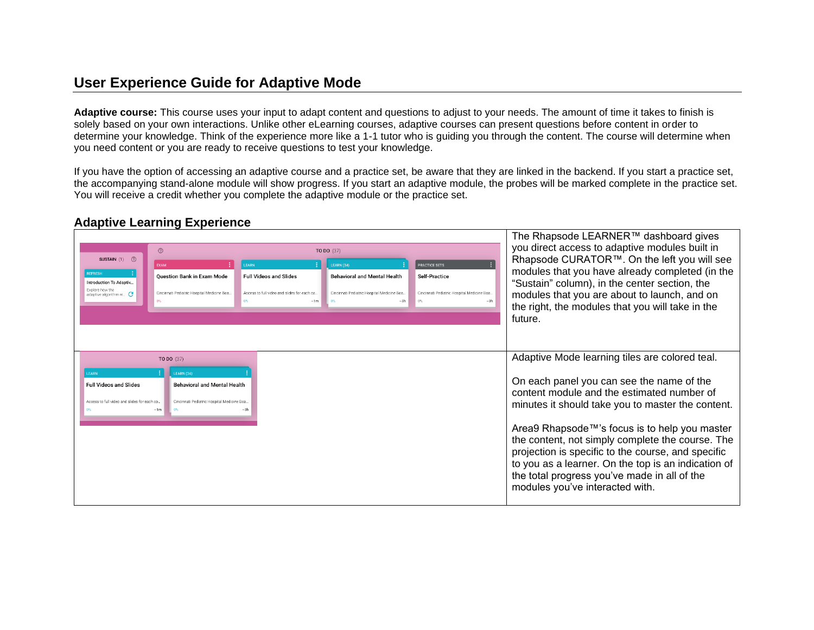## **User Experience Guide for Adaptive Mode**

**Adaptive course:** This course uses your input to adapt content and questions to adjust to your needs. The amount of time it takes to finish is solely based on your own interactions. Unlike other eLearning courses, adaptive courses can present questions before content in order to determine your knowledge. Think of the experience more like a 1-1 tutor who is guiding you through the content. The course will determine when you need content or you are ready to receive questions to test your knowledge.

If you have the option of accessing an adaptive course and a practice set, be aware that they are linked in the backend. If you start a practice set, the accompanying stand-alone module will show progress. If you start an adaptive module, the probes will be marked complete in the practice set. You will receive a credit whether you complete the adaptive module or the practice set.

## **Adaptive Learning Experience**

| SUSTAIN (1) 2<br><b>REFRESH</b><br>Introduction To Adaptiv.<br>Explore how the<br>adaptive algorithm w $G$ | $\odot$<br><b>EXAM</b><br><b>Question Bank in Exam Mode</b><br>Cincinnati Pediatric Hospital Medicine Boa.                              | EARN<br><b>Full Videos and Slides</b><br>Access to full video and slides for each co.<br>$~\sim 1$ m | TO DO (37)<br>LEARN (34)<br><b>Behavioral and Mental Health</b><br>Cincinnati Pediatric Hospital Medicine Boa<br>$~1 - 3 h$ | <b>PRACTICE SETS</b><br>Self-Practice<br>Cincinnati Pediatric Hospital Medicine Boa.<br>$0\%$ | The Rhapsode LEARNER™ dashboard gives<br>you direct access to adaptive modules built in<br>Rhapsode CURATOR™. On the left you will see<br>modules that you have already completed (in the<br>"Sustain" column), in the center section, the<br>modules that you are about to launch, and on<br>the right, the modules that you will take in the<br>future.                                                                                                                                           |
|------------------------------------------------------------------------------------------------------------|-----------------------------------------------------------------------------------------------------------------------------------------|------------------------------------------------------------------------------------------------------|-----------------------------------------------------------------------------------------------------------------------------|-----------------------------------------------------------------------------------------------|-----------------------------------------------------------------------------------------------------------------------------------------------------------------------------------------------------------------------------------------------------------------------------------------------------------------------------------------------------------------------------------------------------------------------------------------------------------------------------------------------------|
| <b>FARN</b><br><b>Full Videos and Slides</b><br>Access to full video and slides for each co                | TO DO (37)<br>LEARN (34)<br><b>Behavioral and Mental Health</b><br>Cincinnati Pediatric Hospital Medicine Boa.<br>$~\sim$ 1 $~$ m<br>0% | $~1 - 3h$                                                                                            |                                                                                                                             |                                                                                               | Adaptive Mode learning tiles are colored teal.<br>On each panel you can see the name of the<br>content module and the estimated number of<br>minutes it should take you to master the content.<br>Area9 Rhapsode™'s focus is to help you master<br>the content, not simply complete the course. The<br>projection is specific to the course, and specific<br>to you as a learner. On the top is an indication of<br>the total progress you've made in all of the<br>modules you've interacted with. |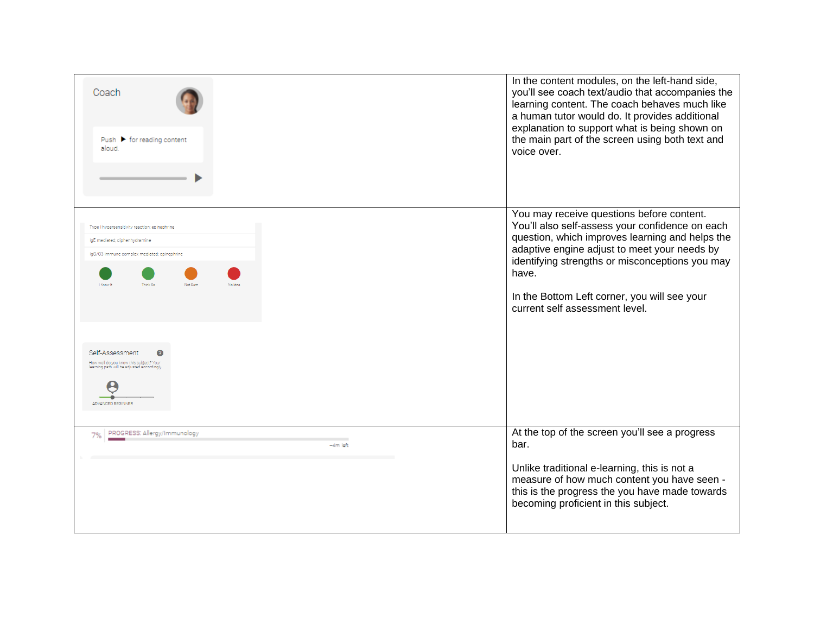| Coach<br>Push $\blacktriangleright$ for reading content<br>aloud.                                                                                                                                                                                                                                                         | In the content modules, on the left-hand side,<br>you'll see coach text/audio that accompanies the<br>learning content. The coach behaves much like<br>a human tutor would do. It provides additional<br>explanation to support what is being shown on<br>the main part of the screen using both text and<br>voice over.                      |
|---------------------------------------------------------------------------------------------------------------------------------------------------------------------------------------------------------------------------------------------------------------------------------------------------------------------------|-----------------------------------------------------------------------------------------------------------------------------------------------------------------------------------------------------------------------------------------------------------------------------------------------------------------------------------------------|
| Type I hypersensitivity reaction; epinephrine<br>IgE mediated; diphenhydramine<br>IgG/C3 immune complex mediated; epinephrine<br>I Know It<br>Think Sc<br>Not Sure<br>No Idea<br>Self-Assessment<br>Q<br>How well do you know this subject? Your<br>earning path will be adjusted accordingly<br><b>ADVANCED BEGINNER</b> | You may receive questions before content.<br>You'll also self-assess your confidence on each<br>question, which improves learning and helps the<br>adaptive engine adjust to meet your needs by<br>identifying strengths or misconceptions you may<br>have.<br>In the Bottom Left corner, you will see your<br>current self assessment level. |
| PROGRESS: Allergy/Immunology<br>7%<br>$-4m$ left                                                                                                                                                                                                                                                                          | At the top of the screen you'll see a progress<br>bar.<br>Unlike traditional e-learning, this is not a<br>measure of how much content you have seen -<br>this is the progress the you have made towards<br>becoming proficient in this subject.                                                                                               |